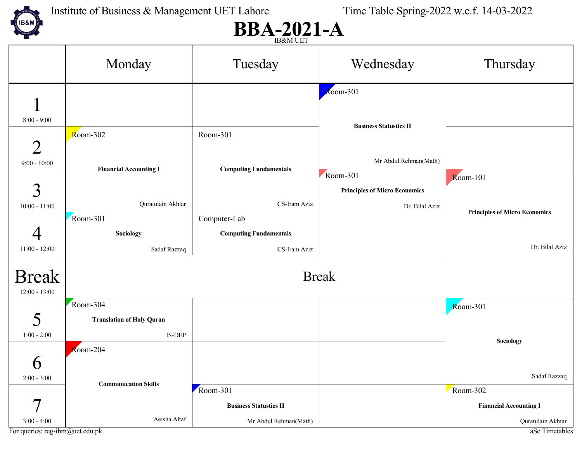

Institute of Business & Management UET Lahore Time Table Spring-2022 w.e.f. 14-03-2022

#### $BBA-2021-A$

|                                                  | <b>IDOUVE OF L</b>               |                               |                                      |                                      |  |
|--------------------------------------------------|----------------------------------|-------------------------------|--------------------------------------|--------------------------------------|--|
|                                                  | Monday                           | Tuesday                       | Wednesday                            | Thursday                             |  |
|                                                  |                                  |                               | $\overline{\text{Room-}}301$         |                                      |  |
|                                                  |                                  |                               |                                      |                                      |  |
| $8:00 - 9:00$                                    |                                  |                               | <b>Business Statustics II</b>        |                                      |  |
|                                                  | Room-302                         | Room-301                      |                                      |                                      |  |
| $\overline{2}$                                   |                                  |                               |                                      |                                      |  |
| $9:00 - 10:00$                                   | <b>Financial Accounting I</b>    | <b>Computing Fundamentals</b> | Mr Abdul Rehman(Math)                |                                      |  |
|                                                  |                                  |                               | Room-301                             | $Room-101$                           |  |
| $\overline{3}$                                   |                                  |                               | <b>Principles of Micro Economics</b> |                                      |  |
| $10:00 - 11:00$                                  | Quratulain Akhtar                | CS-Iram Aziz                  | Dr. Bilal Aziz                       | <b>Principles of Micro Economics</b> |  |
|                                                  | Room-301                         | Computer-Lab                  |                                      |                                      |  |
|                                                  | <b>Sociology</b>                 | <b>Computing Fundamentals</b> |                                      |                                      |  |
| $11:00 - 12:00$                                  | Sadaf Razzaq                     | CS-Iram Aziz                  |                                      | Dr. Bilal Aziz                       |  |
|                                                  |                                  |                               |                                      |                                      |  |
| <b>Break</b>                                     | <b>Break</b>                     |                               |                                      |                                      |  |
| $12:00 - 13:00$                                  |                                  |                               |                                      |                                      |  |
|                                                  | Room-304                         |                               |                                      | <b>Room-301</b>                      |  |
| 5                                                | <b>Translation of Holy Quran</b> |                               |                                      |                                      |  |
| $1:00 - 2:00$                                    | IS-DEP                           |                               |                                      | Sociology                            |  |
|                                                  | $\overline{\text{Room-}}204$     |                               |                                      |                                      |  |
| $\boldsymbol{\mathsf{b}}$                        |                                  |                               |                                      |                                      |  |
| $2:00 - 3:00$                                    | <b>Communication Skills</b>      |                               |                                      | Sadaf Razzaq                         |  |
|                                                  |                                  | Room-301                      |                                      | Room-302                             |  |
|                                                  |                                  | <b>Business Statustics II</b> |                                      | <b>Financial Accounting I</b>        |  |
| $3:00 - 4:00$<br>For queries: reg-ibm@uet.edu.pk | Aeisha Altaf                     | Mr Abdul Rehman(Math)         |                                      | Quratulain Akhtar                    |  |
|                                                  |                                  |                               |                                      | aSc Timetables                       |  |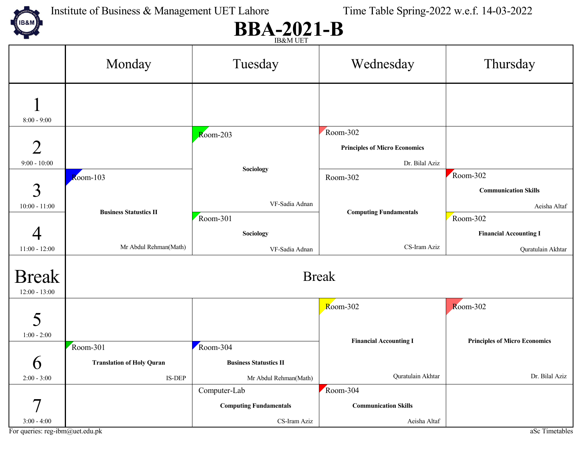

### $BBA-2021-B$

|                                 |                                  | <b>IDOVIAL OF 1</b>           |                                                  |                                      |
|---------------------------------|----------------------------------|-------------------------------|--------------------------------------------------|--------------------------------------|
|                                 | Monday                           | Tuesday                       | Wednesday                                        | Thursday                             |
| $8:00 - 9:00$                   |                                  |                               |                                                  |                                      |
| $\overline{2}$                  |                                  | $Room-203$                    | Room-302<br><b>Principles of Micro Economics</b> |                                      |
| $9:00 - 10:00$                  |                                  |                               | Dr. Bilal Aziz                                   |                                      |
|                                 | $Room-103$                       | Sociology                     | Room-302                                         | Room-302                             |
| $\mathfrak{Z}$                  |                                  |                               |                                                  | <b>Communication Skills</b>          |
| $10:00 - 11:00$                 |                                  | VF-Sadia Adnan                |                                                  | Aeisha Altaf                         |
|                                 | <b>Business Statustics II</b>    | Room-301                      | <b>Computing Fundamentals</b>                    | Room-302                             |
|                                 |                                  | Sociology                     |                                                  | <b>Financial Accounting I</b>        |
| $11:00 - 12:00$                 | Mr Abdul Rehman(Math)            | VF-Sadia Adnan                | CS-Iram Aziz                                     | Quratulain Akhtar                    |
| <b>Break</b><br>$12:00 - 13:00$ | <b>Break</b>                     |                               |                                                  |                                      |
|                                 |                                  |                               | Room-302                                         | Room-302                             |
| 5<br>$1:00 - 2:00$              |                                  |                               | <b>Financial Accounting I</b>                    | <b>Principles of Micro Economics</b> |
|                                 | Room-301                         | Room-304                      |                                                  |                                      |
| $\boldsymbol{\mathsf{O}}$       | <b>Translation of Holy Quran</b> | <b>Business Statustics II</b> |                                                  |                                      |
| $2:00 - 3:00$                   | IS-DEP                           | Mr Abdul Rehman(Math)         | Quratulain Akhtar                                | Dr. Bilal Aziz                       |
|                                 |                                  | Computer-Lab                  | Room-304                                         |                                      |
|                                 |                                  | <b>Computing Fundamentals</b> | <b>Communication Skills</b>                      |                                      |
| $3:00 - 4:00$                   |                                  | CS-Iram Aziz                  | Aeisha Altaf                                     |                                      |
| For queries: reg-ibm@uet.edu.pk |                                  |                               |                                                  | aSc Timetables                       |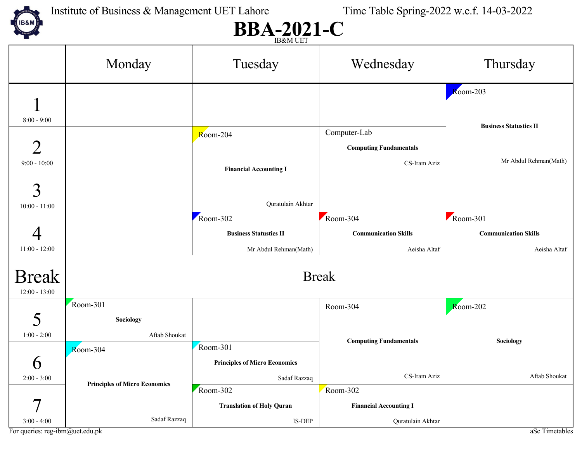

### $BBA-2021-C$

|                                 |                                      | <b>IDOVIAL OF 1</b>                  |                               |                               |
|---------------------------------|--------------------------------------|--------------------------------------|-------------------------------|-------------------------------|
|                                 | Monday                               | Tuesday                              | Wednesday                     | Thursday                      |
|                                 |                                      |                                      |                               | $\overline{\text{R}}$ oom-203 |
|                                 |                                      |                                      |                               |                               |
| $8:00 - 9:00$                   |                                      |                                      |                               | <b>Business Statustics II</b> |
|                                 |                                      | Room-204                             | Computer-Lab                  |                               |
| $\overline{2}$                  |                                      |                                      | <b>Computing Fundamentals</b> |                               |
| $9:00 - 10:00$                  |                                      | <b>Financial Accounting I</b>        | CS-Iram Aziz                  | Mr Abdul Rehman(Math)         |
|                                 |                                      |                                      |                               |                               |
| 3                               |                                      |                                      |                               |                               |
| $10:00 - 11:00$                 |                                      | Quratulain Akhtar                    |                               |                               |
|                                 |                                      | Room-302                             | Room-304                      | Room-301                      |
|                                 |                                      | <b>Business Statustics II</b>        | <b>Communication Skills</b>   | <b>Communication Skills</b>   |
| $11:00 - 12:00$                 |                                      | Mr Abdul Rehman(Math)                | Aeisha Altaf                  | Aeisha Altaf                  |
|                                 |                                      |                                      |                               |                               |
| <b>Break</b>                    | <b>Break</b>                         |                                      |                               |                               |
| $12:00 - 13:00$                 |                                      |                                      |                               |                               |
|                                 | Room-301                             |                                      | Room-304                      | $Room-202$                    |
| 5                               | Sociology                            |                                      |                               |                               |
| $1:00 - 2:00$                   | Aftab Shoukat                        |                                      | <b>Computing Fundamentals</b> | Sociology                     |
|                                 | Room-304                             | Room-301                             |                               |                               |
| $\boldsymbol{\mathsf{O}}$       |                                      | <b>Principles of Micro Economics</b> |                               |                               |
| $2:00 - 3:00$                   | <b>Principles of Micro Economics</b> | Sadaf Razzaq                         | CS-Iram Aziz                  | Aftab Shoukat                 |
|                                 |                                      | Room-302                             | Room-302                      |                               |
| 7                               |                                      | <b>Translation of Holy Quran</b>     | <b>Financial Accounting I</b> |                               |
| $3:00 - 4:00$                   | Sadaf Razzaq                         | IS-DEP                               | Quratulain Akhtar             |                               |
| For queries: reg-ibm@uet.edu.pk |                                      |                                      |                               | aSc Timetables                |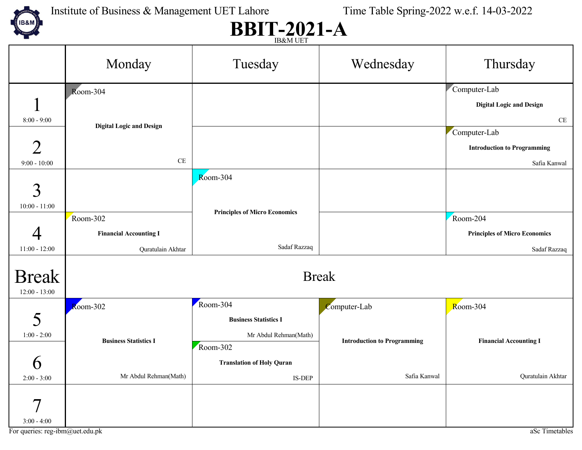

Institute of Business & Management UET Lahore Time Table Spring-2022 w.e.f. 14-03-2022

# **BBIT-2021-A**

|                                 |                                 | <b>IDOUVI ULT</b>                    |                                    |                                      |
|---------------------------------|---------------------------------|--------------------------------------|------------------------------------|--------------------------------------|
|                                 | Monday                          | Tuesday                              | Wednesday                          | Thursday                             |
|                                 | Room-304                        |                                      |                                    | Computer-Lab                         |
|                                 |                                 |                                      |                                    | <b>Digital Logic and Design</b>      |
| $8:00 - 9:00$                   |                                 |                                      |                                    | CE                                   |
|                                 | <b>Digital Logic and Design</b> |                                      |                                    | Computer-Lab                         |
| $\overline{2}$                  |                                 |                                      |                                    | <b>Introduction to Programming</b>   |
| $9:00 - 10:00$                  | $\rm CE$                        |                                      |                                    | Safia Kanwal                         |
|                                 |                                 | $Room-304$                           |                                    |                                      |
| $\overline{3}$                  |                                 |                                      |                                    |                                      |
| $10:00 - 11:00$                 |                                 | <b>Principles of Micro Economics</b> |                                    |                                      |
|                                 | Room-302                        |                                      |                                    | Room-204                             |
|                                 | <b>Financial Accounting I</b>   |                                      |                                    | <b>Principles of Micro Economics</b> |
| $11:00 - 12:00$                 | Quratulain Akhtar               | Sadaf Razzaq                         |                                    | Sadaf Razzaq                         |
| <b>Break</b><br>$12:00 - 13:00$ | <b>Break</b>                    |                                      |                                    |                                      |
|                                 | $Room-302$                      | Room-304                             | Computer-Lab                       | Room-304                             |
| 5                               |                                 | <b>Business Statistics I</b>         |                                    |                                      |
| $1:00 - 2:00$                   | <b>Business Statistics I</b>    | Mr Abdul Rehman(Math)                | <b>Introduction to Programming</b> | <b>Financial Accounting I</b>        |
|                                 |                                 | Room-302                             |                                    |                                      |
| $\boldsymbol{\mathsf{O}}$       |                                 | <b>Translation of Holy Quran</b>     |                                    |                                      |
| $2:00 - 3:00$                   | Mr Abdul Rehman(Math)           | $\text{IS-DEP}{}$                    | Safia Kanwal                       | Quratulain Akhtar                    |
|                                 |                                 |                                      |                                    |                                      |
| $\boldsymbol{\tau}$             |                                 |                                      |                                    |                                      |
| $3:00 - 4:00$                   |                                 |                                      |                                    |                                      |
| For queries: reg-ibm@uet.edu.pk |                                 |                                      |                                    | aSc Timetables                       |